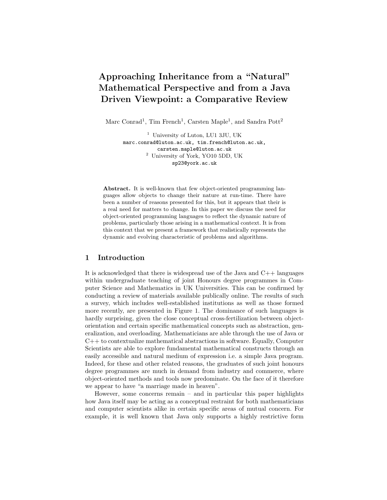# Approaching Inheritance from a "Natural" Mathematical Perspective and from a Java Driven Viewpoint: a Comparative Review

Marc Conrad<sup>1</sup>, Tim French<sup>1</sup>, Carsten Maple<sup>1</sup>, and Sandra Pott<sup>2</sup>

<sup>1</sup> University of Luton, LU1 3JU, UK marc.conrad@luton.ac.uk, tim.french@luton.ac.uk, carsten.maple@luton.ac.uk <sup>2</sup> University of York, YO10 5DD, UK sp23@york.ac.uk

Abstract. It is well-known that few object-oriented programming languages allow objects to change their nature at run-time. There have been a number of reasons presented for this, but it appears that their is a real need for matters to change. In this paper we discuss the need for object-oriented programming languages to reflect the dynamic nature of problems, particularly those arising in a mathematical context. It is from this context that we present a framework that realistically represents the dynamic and evolving characteristic of problems and algorithms.

## 1 Introduction

It is acknowledged that there is widespread use of the Java and  $C_{++}$  languages within undergraduate teaching of joint Honours degree programmes in Computer Science and Mathematics in UK Universities. This can be confirmed by conducting a review of materials available publically online. The results of such a survey, which includes well-established institutions as well as those formed more recently, are presented in Figure 1. The dominance of such languages is hardly surprising, given the close conceptual cross-fertilization between objectorientation and certain specific mathematical concepts such as abstraction, generalization, and overloading. Mathematicians are able through the use of Java or C++ to contextualize mathematical abstractions in software. Equally, Computer Scientists are able to explore fundamental mathematical constructs through an easily accessible and natural medium of expression i.e. a simple Java program. Indeed, for these and other related reasons, the graduates of such joint honours degree programmes are much in demand from industry and commerce, where object-oriented methods and tools now predominate. On the face of it therefore we appear to have "a marriage made in heaven".

However, some concerns remain – and in particular this paper highlights how Java itself may be acting as a conceptual restraint for both mathematicians and computer scientists alike in certain specific areas of mutual concern. For example, it is well known that Java only supports a highly restrictive form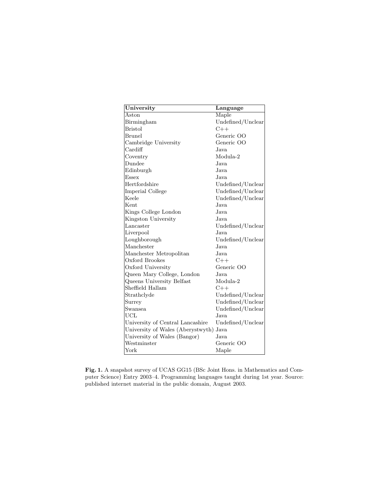| University                             | Language          |
|----------------------------------------|-------------------|
| Aston                                  | Maple             |
| Birmingham                             | Undefined/Unclear |
| <b>Bristol</b>                         | $C++$             |
| Brunel                                 | Generic OO        |
| Cambridge University                   | Generic OO        |
| Cardiff                                | Java.             |
| Coventry                               | Modula-2          |
| Dundee                                 | Java.             |
| Edinburgh                              | Java.             |
| Essex                                  | Java.             |
| Hertfordshire                          | Undefined/Unclear |
| Imperial College                       | Undefined/Unclear |
| Keele                                  | Undefined/Unclear |
| <b>Kent</b>                            | Java.             |
| Kings College London                   | Java.             |
| Kingston University                    | Java              |
| Lancaster                              | Undefined/Unclear |
| Liverpool                              | Java.             |
| Loughborough                           | Undefined/Unclear |
| Manchester                             | Java.             |
| Manchester Metropolitan                | Java.             |
| Oxford Brookes                         | $C++$             |
| Oxford University                      | Generic OO        |
| Queen Mary College, London             | Java.             |
| Queens University Belfast              | Modula-2          |
| Sheffield Hallam                       | $C++$             |
| Strathclyde                            | Undefined/Unclear |
| Surrey                                 | Undefined/Unclear |
| Swansea                                | Undefined/Unclear |
| UCL                                    | Java.             |
| University of Central Lancashire       | Undefined/Unclear |
| University of Wales (Aberystwyth) Java |                   |
| University of Wales (Bangor)           | Java              |
| Westminster                            | Generic OO        |
| York                                   | Maple             |

Fig. 1. A snapshot survey of UCAS GG15 (BSc Joint Hons. in Mathematics and Computer Science) Entry 2003–4. Programming languages taught during 1st year. Source: published internet material in the public domain, August 2003.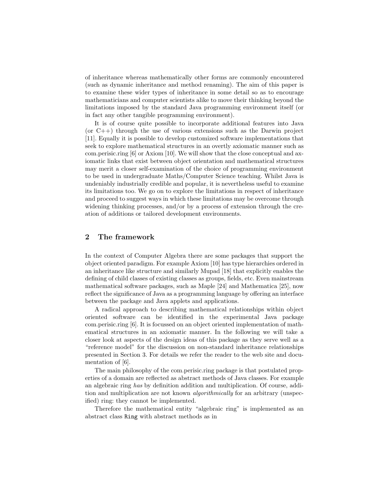of inheritance whereas mathematically other forms are commonly encountered (such as dynamic inheritance and method renaming). The aim of this paper is to examine these wider types of inheritance in some detail so as to encourage mathematicians and computer scientists alike to move their thinking beyond the limitations imposed by the standard Java programming environment itself (or in fact any other tangible programming environment).

It is of course quite possible to incorporate additional features into Java (or  $C_{++}$ ) through the use of various extensions such as the Darwin project [11]. Equally it is possible to develop customized software implementations that seek to explore mathematical structures in an overtly axiomatic manner such as com.perisic.ring [6] or Axiom [10]. We will show that the close conceptual and axiomatic links that exist between object orientation and mathematical structures may merit a closer self-examination of the choice of programming environment to be used in undergraduate Maths/Computer Science teaching. Whilst Java is undeniably industrially credible and popular, it is nevertheless useful to examine its limitations too. We go on to explore the limitations in respect of inheritance and proceed to suggest ways in which these limitations may be overcome through widening thinking processes, and/or by a process of extension through the creation of additions or tailored development environments.

## 2 The framework

In the context of Computer Algebra there are some packages that support the object oriented paradigm. For example Axiom [10] has type hierarchies ordered in an inheritance like structure and similarly Mupad [18] that explicitly enables the defining of child classes of existing classes as groups, fields, etc. Even mainstream mathematical software packages, such as Maple [24] and Mathematica [25], now reflect the significance of Java as a programming language by offering an interface between the package and Java applets and applications.

A radical approach to describing mathematical relationships within object oriented software can be identified in the experimental Java package com.perisic.ring [6]. It is focussed on an object oriented implementation of mathematical structures in an axiomatic manner. In the following we will take a closer look at aspects of the design ideas of this package as they serve well as a "reference model" for the discussion on non-standard inheritance relationships presented in Section 3. For details we refer the reader to the web site and documentation of [6].

The main philosophy of the com.perisic.ring package is that postulated properties of a domain are reflected as abstract methods of Java classes. For example an algebraic ring has by definition addition and multiplication. Of course, addition and multiplication are not known *algorithmically* for an arbitrary (unspecified) ring: they cannot be implemented.

Therefore the mathematical entity "algebraic ring" is implemented as an abstract class Ring with abstract methods as in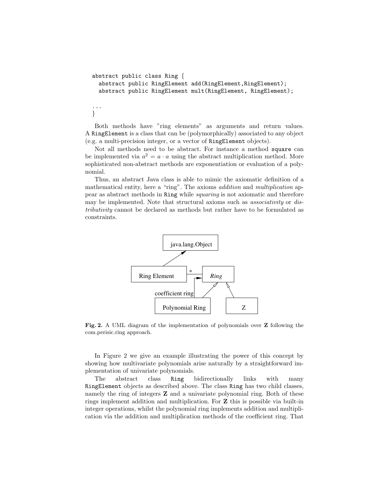```
abstract public class Ring {
  abstract public RingElement add(RingElement, RingElement);
  abstract public RingElement mult(RingElement, RingElement);
...
}
```
Both methods have "ring elements" as arguments and return values. A RingElement is a class that can be (polymorphically) associated to any object (e.g. a multi-precision integer, or a vector of RingElement objects).

Not all methods need to be abstract. For instance a method square can be implemented via  $a^2 = a \cdot a$  using the abstract multiplication method. More sophisticated non-abstract methods are exponentiation or evaluation of a polynomial.

Thus, an abstract Java class is able to mimic the axiomatic definition of a mathematical entity, here a "ring". The axioms addition and multiplication appear as abstract methods in Ring while squaring is not axiomatic and therefore may be implemented. Note that structural axioms such as associativity or distributivity cannot be declared as methods but rather have to be formulated as constraints.



Fig. 2. A UML diagram of the implementation of polynomials over Z following the com.perisic.ring approach.

In Figure 2 we give an example illustrating the power of this concept by showing how multivariate polynomials arise naturally by a straightforward implementation of univariate polynomials.

The abstract class Ring bidirectionally links with many RingElement objects as described above. The class Ring has two child classes, namely the ring of integers **Z** and a univariate polynomial ring. Both of these rings implement addition and multiplication. For Z this is possible via built-in integer operations, whilst the polynomial ring implements addition and multiplication via the addition and multiplication methods of the coefficient ring. That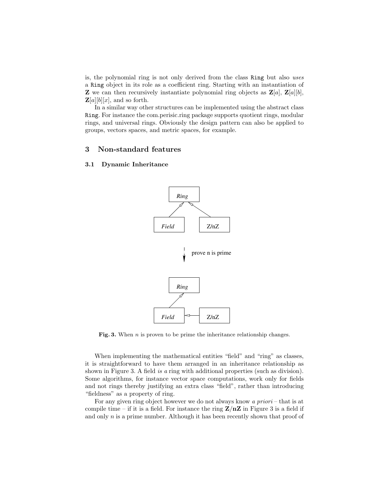is, the polynomial ring is not only derived from the class Ring but also uses a Ring object in its role as a coefficient ring. Starting with an instantiation of **Z** we can then recursively instantiate polynomial ring objects as  $\mathbf{Z}[a], \mathbf{Z}[a][b],$  $\mathbf{Z}[a][b][x]$ , and so forth.

In a similar way other structures can be implemented using the abstract class Ring. For instance the com.perisic.ring package supports quotient rings, modular rings, and universal rings. Obviously the design pattern can also be applied to groups, vectors spaces, and metric spaces, for example.

# 3 Non-standard features

## 3.1 Dynamic Inheritance



Fig. 3. When n is proven to be prime the inheritance relationship changes.

When implementing the mathematical entities "field" and "ring" as classes, it is straightforward to have them arranged in an inheritance relationship as shown in Figure 3. A field *is a* ring with additional properties (such as division). Some algorithms, for instance vector space computations, work only for fields and not rings thereby justifying an extra class "field", rather than introducing "fieldness" as a property of ring.

For any given ring object however we do not always know a *priori* – that is at compile time – if it is a field. For instance the ring  $\mathbf{Z}/n\mathbf{Z}$  in Figure 3 is a field if and only  $n$  is a prime number. Although it has been recently shown that proof of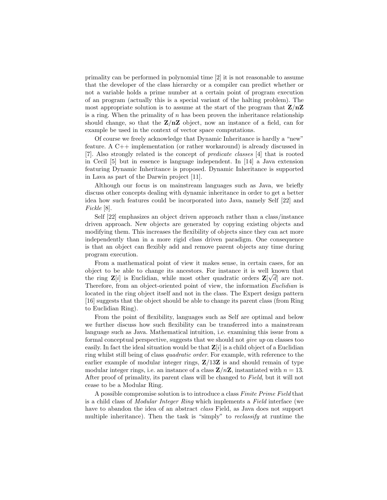primality can be performed in polynomial time [2] it is not reasonable to assume that the developer of the class hierarchy or a compiler can predict whether or not a variable holds a prime number at a certain point of program execution of an program (actually this is a special variant of the halting problem). The most appropriate solution is to assume at the start of the program that  $\mathbf{Z}/n\mathbf{Z}$ is a ring. When the primality of  $n$  has been proven the inheritance relationship should change, so that the  $Z/nZ$  object, now an instance of a field, can for example be used in the context of vector space computations.

Of course we freely acknowledge that Dynamic Inheritance is hardly a "new" feature. A C++ implementation (or rather workaround) is already discussed in [7]. Also strongly related is the concept of predicate classes [4] that is rooted in Cecil [5] but in essence is language independent. In [14] a Java extension featuring Dynamic Inheritance is proposed. Dynamic Inheritance is supported in Lava as part of the Darwin project [11].

Although our focus is on mainstream languages such as Java, we briefly discuss other concepts dealing with dynamic inheritance in order to get a better idea how such features could be incorporated into Java, namely Self [22] and Fickle [8].

Self [22] emphasizes an object driven approach rather than a class/instance driven approach. New objects are generated by copying existing objects and modifying them. This increases the flexibility of objects since they can act more independently than in a more rigid class driven paradigm. One consequence is that an object can flexibly add and remove parent objects any time during program execution.

From a mathematical point of view it makes sense, in certain cases, for an object to be able to change its ancestors. For instance it is well known that the ring  $\mathbf{Z}[i]$  is Euclidian, while most other quadratic orders  $\mathbf{Z}[\sqrt{d}]$  are not. Therefore, from an object-oriented point of view, the information Euclidian is located in the ring object itself and not in the class. The Expert design pattern [16] suggests that the object should be able to change its parent class (from Ring to Euclidian Ring).

From the point of flexibility, languages such as Self are optimal and below we further discuss how such flexibility can be transferred into a mainstream language such as Java. Mathematical intuition, i.e. examining this issue from a formal conceptual perspective, suggests that we should not give up on classes too easily. In fact the ideal situation would be that  $\mathbf{Z}[i]$  is a child object of a Euclidian ring whilst still being of class quadratic order. For example, with reference to the earlier example of modular integer rings,  $\mathbb{Z}/13\mathbb{Z}$  is and should remain of type modular integer rings, i.e. an instance of a class  $\mathbf{Z}/n\mathbf{Z}$ , instantiated with  $n = 13$ . After proof of primality, its parent class will be changed to Field, but it will not cease to be a Modular Ring.

A possible compromise solution is to introduce a class Finite Prime Field that is a child class of Modular Integer Ring which implements a Field interface (we have to abandon the idea of an abstract class Field, as Java does not support multiple inheritance). Then the task is "simply" to *reclassify* at runtime the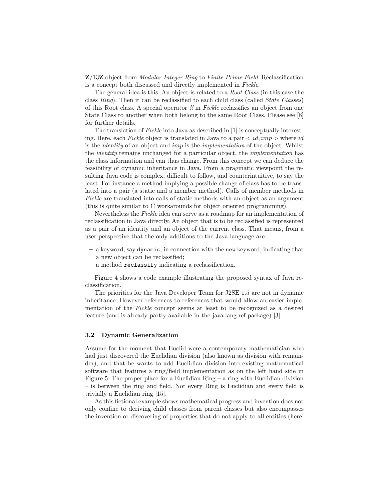Z/13Z object from Modular Integer Ring to Finite Prime Field. Reclassification is a concept both discussed and directly implemented in Fickle.

The general idea is this: An object is related to a Root Class (in this case the class Ring). Then it can be reclassified to each child class (called State Classes) of this Root class. A special operator !! in Fickle reclassifies an object from one State Class to another when both belong to the same Root Class. Please see [8] for further details.

The translation of Fickle into Java as described in [1] is conceptually interesting. Here, each Fickle object is translated in Java to a pair  $\langle id, imp \rangle$  where id is the identity of an object and imp is the implementation of the object. Whilst the identity remains unchanged for a particular object, the implementation has the class information and can thus change. From this concept we can deduce the feasibility of dynamic inheritance in Java. From a pragmatic viewpoint the resulting Java code is complex, difficult to follow, and counterintuitive, to say the least. For instance a method implying a possible change of class has to be translated into a pair (a static and a member method). Calls of member methods in Fickle are translated into calls of static methods with an object as an argument (this is quite similar to C workarounds for object oriented programming).

Nevertheless the Fickle idea can serve as a roadmap for an implementation of reclassification in Java directly. An object that is to be reclassified is represented as a pair of an identity and an object of the current class. That means, from a user perspective that the only additions to the Java language are:

- a keyword, say dynamic, in connection with the new keyword, indicating that a new object can be reclassified;
- a method reclassify indicating a reclassification.

Figure 4 shows a code example illustrating the proposed syntax of Java reclassification.

The priorities for the Java Developer Team for J2SE 1.5 are not in dynamic inheritance. However references to references that would allow an easier implementation of the Fickle concept seems at least to be recognized as a desired feature (and is already partly available in the java.lang.ref package) [3].

#### 3.2 Dynamic Generalization

Assume for the moment that Euclid were a contemporary mathematician who had just discovered the Euclidian division (also known as division with remainder), and that he wants to add Euclidian division into existing mathematical software that features a ring/field implementation as on the left hand side in Figure 5. The proper place for a Euclidian Ring – a ring with Euclidian division – is between the ring and field. Not every Ring is Euclidian and every field is trivially a Euclidian ring [15].

As this fictional example shows mathematical progress and invention does not only confine to deriving child classes from parent classes but also encompasses the invention or discovering of properties that do not apply to all entities (here: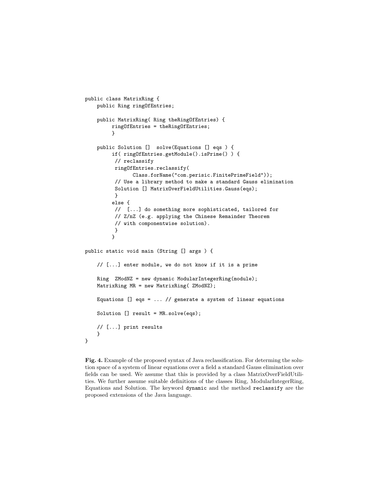```
public class MatrixRing {
    public Ring ringOfEntries;
    public MatrixRing( Ring theRingOfEntries) {
         ringOfEntries = theRingOfEntries;
         }
    public Solution [] solve(Equations [] eqs ) {
         if( ringOfEntries.getModule().isPrime() ) {
          // reclassify
          ringOfEntries.reclassify(
                Class.forName("com.perisic.FinitePrimeField"));
          // Use a library method to make a standard Gauss elimination
          Solution [] MatrixOverFieldUtilities.Gauss(eqs);
          }
         else {
          // [...] do something more sophisticated, tailored for
          // Z/nZ (e.g. applying the Chinese Remainder Theorem
          // with componentwise solution).
          }
         }
public static void main (String [] args ) {
    // [...] enter module, we do not know if it is a prime
    Ring ZModNZ = new dynamic ModularIntegerRing(module);
    MatrixRing MR = new MatrixRing( ZModNZ);
    Equations [] eqs = ... // generate a system of linear equations
    Solution [] result = MR.solve(eqs);
    // [...] print results
    }
}
```
Fig. 4. Example of the proposed syntax of Java reclassification. For determing the solution space of a system of linear equations over a field a standard Gauss elimination over fields can be used. We assume that this is provided by a class MatrixOverFieldUtilities. We further assume suitable definitions of the classes Ring, ModularIntegerRing, Equations and Solution. The keyword dynamic and the method reclassify are the proposed extensions of the Java language.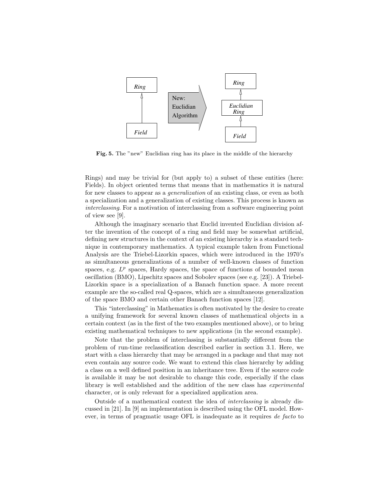

Fig. 5. The "new" Euclidian ring has its place in the middle of the hierarchy

Rings) and may be trivial for (but apply to) a subset of these entities (here: Fields). In object oriented terms that means that in mathematics it is natural for new classes to appear as a generalization of an existing class, or even as both a specialization and a generalization of existing classes. This process is known as interclassing. For a motivation of interclassing from a software engineering point of view see [9].

Although the imaginary scenario that Euclid invented Euclidian division after the invention of the concept of a ring and field may be somewhat artificial, defining new structures in the context of an existing hierarchy is a standard technique in contemporary mathematics. A typical example taken from Functional Analysis are the Triebel-Lizorkin spaces, which were introduced in the 1970's as simultaneous generalizations of a number of well-known classes of function spaces, e.g.  $L^p$  spaces, Hardy spaces, the space of functions of bounded mean oscillation (BMO), Lipschitz spaces and Sobolev spaces (see e.g. [23]). A Triebel-Lizorkin space is a specialization of a Banach function space. A more recent example are the so-called real Q-spaces, which are a simultaneous generalization of the space BMO and certain other Banach function spaces [12].

This "interclassing" in Mathematics is often motivated by the desire to create a unifying framework for several known classes of mathematical objects in a certain context (as in the first of the two examples mentioned above), or to bring existing mathematical techniques to new applications (in the second example).

Note that the problem of interclassing is substantially different from the problem of run-time reclassification described earlier in section 3.1. Here, we start with a class hierarchy that may be arranged in a package and that may not even contain any source code. We want to extend this class hierarchy by adding a class on a well defined position in an inheritance tree. Even if the source code is available it may be not desirable to change this code, especially if the class library is well established and the addition of the new class has experimental character, or is only relevant for a specialized application area.

Outside of a mathematical context the idea of interclassing is already discussed in [21]. In [9] an implementation is described using the OFL model. However, in terms of pragmatic usage OFL is inadequate as it requires de facto to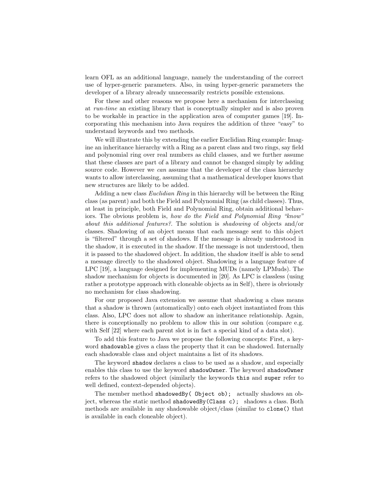learn OFL as an additional language, namely the understanding of the correct use of hyper-generic parameters. Also, in using hyper-generic parameters the developer of a library already unnecessarily restricts possible extensions.

For these and other reasons we propose here a mechanism for interclassing at run-time an existing library that is conceptually simpler and is also proven to be workable in practice in the application area of computer games [19]. Incorporating this mechanism into Java requires the addition of three "easy" to understand keywords and two methods.

We will illustrate this by extending the earlier Euclidian Ring example: Imagine an inheritance hierarchy with a Ring as a parent class and two rings, say field and polynomial ring over real numbers as child classes, and we further assume that these classes are part of a library and cannot be changed simply by adding source code. However we can assume that the developer of the class hierarchy wants to allow interclassing, assuming that a mathematical developer knows that new structures are likely to be added.

Adding a new class Euclidian Ring in this hierarchy will be between the Ring class (as parent) and both the Field and Polynomial Ring (as child classes). Thus, at least in principle, both Field and Polynomial Ring, obtain additional behaviors. The obvious problem is, how do the Field and Polynomial Ring "know" about this additional features?. The solution is shadowing of objects and/or classes. Shadowing of an object means that each message sent to this object is "filtered" through a set of shadows. If the message is already understood in the shadow, it is executed in the shadow. If the message is not understood, then it is passed to the shadowed object. In addition, the shadow itself is able to send a message directly to the shadowed object. Shadowing is a language feature of LPC [19], a language designed for implementing MUDs (namely LPMuds). The shadow mechanism for objects is documented in [20]. As LPC is classless (using rather a prototype approach with cloneable objects as in Self), there is obviously no mechanism for class shadowing.

For our proposed Java extension we assume that shadowing a class means that a shadow is thrown (automatically) onto each object instantiated from this class. Also, LPC does not allow to shadow an inheritance relationship. Again, there is conceptionally no problem to allow this in our solution (compare e.g. with Self  $[22]$  where each parent slot is in fact a special kind of a data slot).

To add this feature to Java we propose the following concepts: First, a keyword shadowable gives a class the property that it can be shadowed. Internally each shadowable class and object maintains a list of its shadows.

The keyword shadow declares a class to be used as a shadow, and especially enables this class to use the keyword shadowOwner. The keyword shadowOwner refers to the shadowed object (similarly the keywords this and super refer to well defined, context-depended objects).

The member method shadowedBy( Object ob); actually shadows an object, whereas the static method shadowedBy(Class c); shadows a class. Both methods are available in any shadowable object/class (similar to clone() that is available in each cloneable object).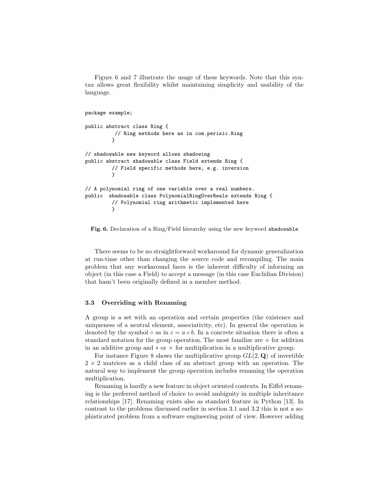Figure 6 and 7 illustrate the usage of these keywords. Note that this syntax allows great flexibility whilst maintaining simplicity and usability of the language.

```
package example;
public abstract class Ring {
          // Ring methods here as in com.perisic.Ring
         }
// shadowable new keyword allows shadowing
public abstract shadowable class Field extends Ring {
         // Field specific methods here, e.g. inversion
         }
// A polynomial ring of one variable over a real numbers.
public shadowable class PolynomialRingOverReals extends Ring {
         // Polynomial ring arithmetic implemented here
        }
```
#### Fig. 6. Declaration of a Ring/Field hierarchy using the new keyword shadowable

There seems to be no straightforward workaround for dynamic generalization at run-time other than changing the source code and recompiling. The main problem that any workaround faces is the inherent difficulty of informing an object (in this case a Field) to accept a message (in this case Euclidian Division) that hasn't been originally defined in a member method.

### 3.3 Overriding with Renaming

A group is a set with an operation and certain properties (the existence and uniqueness of a neutral element, associativity, etc). In general the operation is denoted by the symbol ◦ as in  $c = a \circ b$ . In a concrete situation there is often a standard notation for the group operation. The most familiar are  $+$  for addition in an additive group and  $\ast$  or  $\times$  for multiplication in a multiplicative group.

For instance Figure 8 shows the multiplicative group  $GL(2, \mathbf{Q})$  of invertible  $2 \times 2$  matrices as a child class of an abstract group with an operation. The natural way to implement the group operation includes renaming the operation multiplication.

Renaming is hardly a new feature in object oriented contexts. In Eiffel renaming is the preferred method of choice to avoid ambiguity in multiple inheritance relationships [17]. Renaming exists also as standard feature in Python [13]. In contrast to the problems discussed earlier in section 3.1 and 3.2 this is not a sophisticated problem from a software engineering point of view. However adding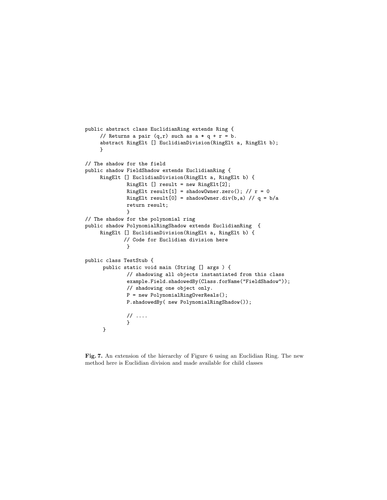```
public abstract class EuclidianRing extends Ring {
     // Returns a pair (q,r) such as a * q + r = b.
     abstract RingElt [] EuclidianDivision(RingElt a, RingElt b);
    }
// The shadow for the field
public shadow FieldShadow extends EuclidianRing {
     RingElt [] EuclidianDivision(RingElt a, RingElt b) {
              RingElt [] result = new RingElt[2];
              RingElt result[1] = shadowOwner.zero(); // r = 0RingElt result[0] = shadowOwner.div(b,a) // q = b/a
              return result;
              }
// The shadow for the polynomial ring
public shadow PolynomialRingShadow extends EuclidianRing {
    RingElt [] EuclidianDivision(RingElt a, RingElt b) {
             // Code for Euclidian division here
              }
public class TestStub {
     public static void main (String [] args ) {
              // shadowing all objects instantiated from this class
              example.Field.shadowedBy(Class.forName("FieldShadow"));
              // shadowing one object only.
              P = new PolynomialRingOverReals();
              P.shadowedBy( new PolynomialRingShadow());
              // ....
              }
      }
```
Fig. 7. An extension of the hierarchy of Figure 6 using an Euclidian Ring. The new method here is Euclidian division and made available for child classes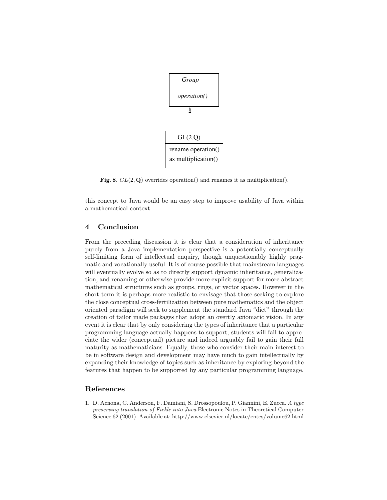

Fig. 8.  $GL(2, \mathbf{Q})$  overrides operation() and renames it as multiplication().

this concept to Java would be an easy step to improve usability of Java within a mathematical context.

# 4 Conclusion

From the preceding discussion it is clear that a consideration of inheritance purely from a Java implementation perspective is a potentially conceptually self-limiting form of intellectual enquiry, though unquestionably highly pragmatic and vocationally useful. It is of course possible that mainstream languages will eventually evolve so as to directly support dynamic inheritance, generalization, and renaming or otherwise provide more explicit support for more abstract mathematical structures such as groups, rings, or vector spaces. However in the short-term it is perhaps more realistic to envisage that those seeking to explore the close conceptual cross-fertilization between pure mathematics and the object oriented paradigm will seek to supplement the standard Java "diet" through the creation of tailor made packages that adopt an overtly axiomatic vision. In any event it is clear that by only considering the types of inheritance that a particular programming language actually happens to support, students will fail to appreciate the wider (conceptual) picture and indeed arguably fail to gain their full maturity as mathematicians. Equally, those who consider their main interest to be in software design and development may have much to gain intellectually by expanding their knowledge of topics such as inheritance by exploring beyond the features that happen to be supported by any particular programming language.

## References

1. D. Acnona, C. Anderson, F. Damiani, S. Drossopoulou, P. Giannini, E. Zucca. A type preserving translation of Fickle into Java Electronic Notes in Theoretical Computer Science 62 (2001). Available at: http://www.elsevier.nl/locate/entcs/volume62.html